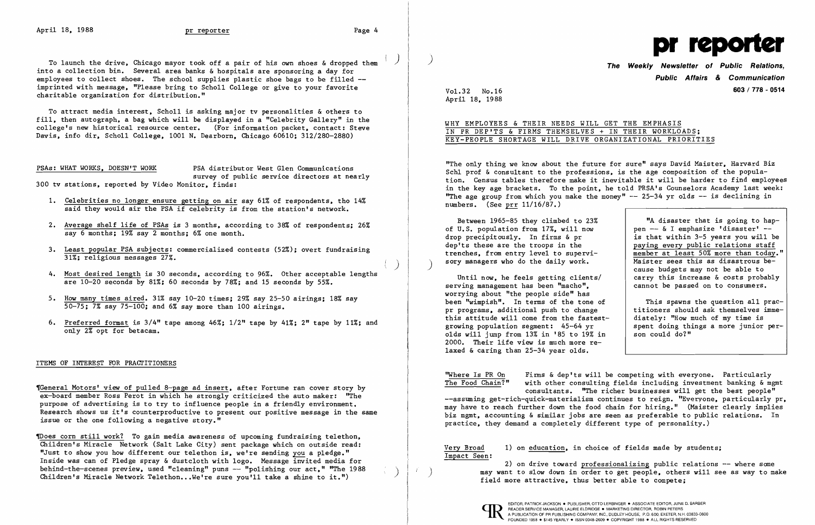To launch the drive, Chicago mayor took off a pair of his own shoes & dropped them into a collection bin. Several area banks  $\&$  hospitals are sponsoring a day for employees to collect shoes. The school supplies plastic shoe bags to be filled -imprinted with message, "Please bring to Scholl College or give to your favorite charitable organization for distribution."

To attract media interest, Scholl is asking major tv personalities & others to fill, then autograph, a bag which will be displayed in a "Celebrity Gallery" in the college's new historical resource center. (For information packet, contact: Steve Davis, info dir, Scholl College, 1001 N. Dearborn, Chicago 60610; 312/280-2880)

PSAs: WHAT WORKS, DOESN'T WORK PSA distributor West Glen Communications survey of public service directors at nearly 300 tv stations, reported by Video Monitor, finds:

- 1. Celebrities no longer ensure getting on air say 61% of respondents, tho 14% said they would air the PSA if celebrity is from the station's network.
- 2. Average shelf life of PSAs is 3 months, according to 38% of respondents; 26% say 6 months; 19% say 2 months; 6% one month.
- 3. Least popular PSA subjects: commercialized contests (52%); overt fundraising 31%; religious messages 27%.
- 4. Most desired length is 30 seconds, according to 96%. Other acceptable lengths are 10-20 seconds by 81%; 60 seconds by 78%; and 15 seconds by 55%.
- 5. How many times aired. 31% say 10-20 times; 29% say 25-50 airings; 18% say 50-75; 7% say 75-100; and 6% say more than 100 airings.
- 6. Preferred format is 3/4" tape among 46%; 1/2" tape by 41%; 2" tape by 11%; and only 2% opt for betacam.

## ITEMS OF INTEREST FOR PRACTITIONERS

**The Weekly Newsletter of Public Relations. Public Affairs & Communication 603 / 778 - 0514** 

"The only thing we know about the future for sure" says David Maister, Harvard Biz Schl prof & consultant to the professions, is the age composition of the population. Census tables therefore make it inevitable it will be harder to find employees in the keyage brackets. To the point, he told PRSA's Counselors Academy last week: "The age group from which you make the money"  $-25-34$  yr olds  $-$  is declining in numbers. (See prr 11/16/87.)

Until now, he feels getting c1ients/ serving management has been "macho", worrying about "the people side" has been "wimpish". In terms of the tone of pr programs, additional push to change this attitude will come from the fastestgrowing population segment: 45-64 yr olds will jump from 13% in '85 to 19% in 2000. Their life view is much more relaxed & caring than 25-34 year olds.

'Genera1 Motors' view of pulled 8-page ad insert, after Fortune ran cover story by ex-board member Ross Perot in which he strongly criticized the auto maker: "The purpose of advertising is to try to influence people in a friendly environment. Research shows us it's counterproductive to present our positive message in the same issue or the one following a negative story."

Thoes corn still work? To gain media awareness of upcoming fundraising telethon, Children's Miracle Network (Salt Lake City) sent package which on outside read: "Just to show you how different our telethon is, we're sending you a pledge." Inside was can of Pledge spray & dustc10th with logo. Message invited media for behind-the-scenes preview, used "cleaning" puns -- "polishing our act," "The 1988 Children's Miracle Network Telethon...We're sure you'll take a shine to it.")



2) on drive toward professionalizing public relations -- where some may want to slow down in order to get people, others will see as way to make field more attractive, thus better able to compete;



Vo1.32 No.16 April 18, 1988

## WHY EMPLOYEES & THEIR NEEDS WILL GET THE EMPHASIS IN PR DEP'TS & FIRMS THEMSELVES + IN THEIR WORKLOADS; KEY-PEOPLE SHORTAGE WILL DRIVE ORGANIZATIONAL PRIORITIES

) )

 $\int$ 

Between 1965-85 they climbed to 23% of U.S. population from 17%, will now drop precipitously. In firms & pr dep'ts these are the troops in the trenches, from entry level to supervisory managers who do the daily work.

"A disaster that is going to happen -- & I emphasize 'disaster' -is that within 3-5 years you will be paying every public relations staff member at least 50% more than today. Maister sees this as disastrous because budgets may not be able to carry this increase & costs probably cannot be passed on to consumerS.

This spawns the question all practitioners should ask themselves immediately: "How much of my time is spent doing things a more junior person could do?"

''Where Is PR On The Food Chain?" Firms & dep'ts will be competing with everyone. Particularly with other consulting fields including investment banking & mgmt consultants. "The richer businesses will get the best people" --assuming get-rich-quick-materialism continues to reign. "Everyone, particularly pr. may have to reach further down the food chain for hiring." (Maister clearly implies biz mgmt, accounting & similar jobs are seen as preferable to public relations. In practice, they demand a completely different type of personality.)

Very Broad Impact Seen:

1) on education, in choice of fields made by students;